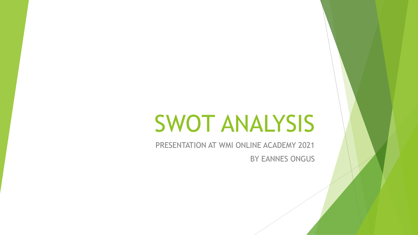# SWOT ANALYSIS

PRESENTATION AT WMI ONLINE ACADEMY 2021 BY EANNES ONGUS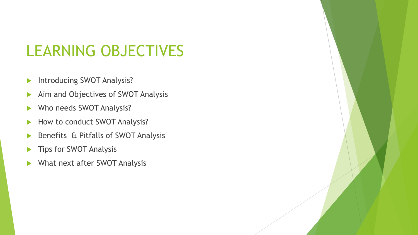### LEARNING OBJECTIVES

- Introducing SWOT Analysis?
- Aim and Objectives of SWOT Analysis
- Who needs SWOT Analysis?
- How to conduct SWOT Analysis?
- Benefits & Pitfalls of SWOT Analysis
- Tips for SWOT Analysis
- What next after SWOT Analysis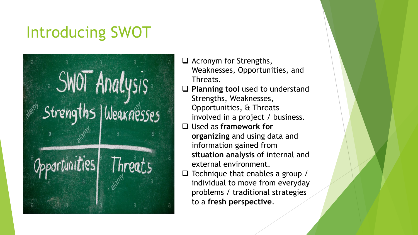# Introducing SWOT



- $\Box$  Acronym for Strengths, Weaknesses, Opportunities, and Threats.
- □ Planning tool used to understand Strengths, Weaknesses, Opportunities, & Threats involved in a project / business.
- Used as **framework for organizing** and using data and information gained from **situation analysis** of internal and external environment.
- $\Box$  Technique that enables a group / individual to move from everyday problems / traditional strategies to a **fresh perspective**.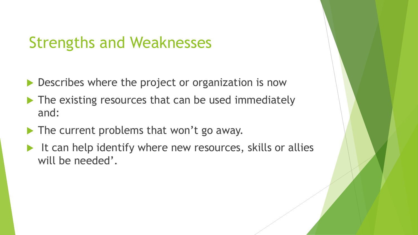### Strengths and Weaknesses

- Describes where the project or organization is now
- The existing resources that can be used immediately and:
- The current problems that won't go away.
- $\blacktriangleright$  It can help identify where new resources, skills or allies will be needed'.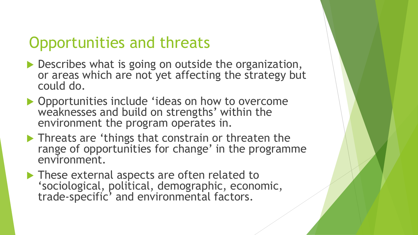### Opportunities and threats

- Describes what is going on outside the organization, or areas which are not yet affecting the strategy but could do.
- ▶ Opportunities include 'ideas on how to overcome weaknesses and build on strengths' within the environment the program operates in.
- **Threats are 'things that constrain or threaten the** range of opportunities for change' in the programme environment.
- ▶ These external aspects are often related to 'sociological, political, demographic, economic, trade-specific' and environmental factors.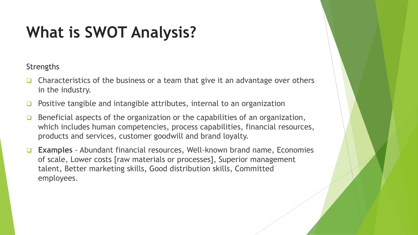#### **Strengths**

- $\Box$  Characteristics of the business or a team that give it an advantage over others in the industry.
- Positive tangible and intangible attributes, internal to an organization
- Beneficial aspects of the organization or the capabilities of an organization, which includes human competencies, process capabilities, financial resources, products and services, customer goodwill and brand loyalty.
- **Examples**  Abundant financial resources, Well-known brand name, Economies of scale, Lower costs [raw materials or processes], Superior management talent, Better marketing skills, Good distribution skills, Committed employees.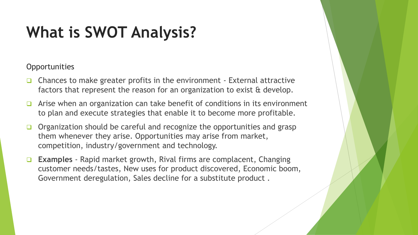#### **Opportunities**

- $\Box$  Chances to make greater profits in the environment External attractive factors that represent the reason for an organization to exist & develop.
- $\Box$  Arise when an organization can take benefit of conditions in its environment to plan and execute strategies that enable it to become more profitable.
- $\Box$  Organization should be careful and recognize the opportunities and grasp them whenever they arise. Opportunities may arise from market, competition, industry/government and technology.
- **Examples** Rapid market growth, Rival firms are complacent, Changing customer needs/tastes, New uses for product discovered, Economic boom, Government deregulation, Sales decline for a substitute product .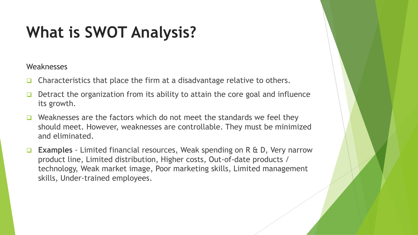#### **Weaknesses**

- $\Box$  Characteristics that place the firm at a disadvantage relative to others.
- Detract the organization from its ability to attain the core goal and influence its growth.
- $\Box$  Weaknesses are the factors which do not meet the standards we feel they should meet. However, weaknesses are controllable. They must be minimized and eliminated.
- **Examples** Limited financial resources, Weak spending on R & D, Very narrow product line, Limited distribution, Higher costs, Out-of-date products / technology, Weak market image, Poor marketing skills, Limited management skills, Under-trained employees.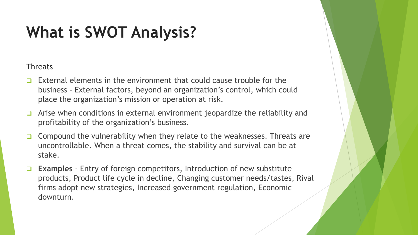#### **Threats**

- External elements in the environment that could cause trouble for the business - External factors, beyond an organization's control, which could place the organization's mission or operation at risk.
- Arise when conditions in external environment jeopardize the reliability and profitability of the organization's business.
- $\Box$  Compound the vulnerability when they relate to the weaknesses. Threats are uncontrollable. When a threat comes, the stability and survival can be at stake.
- **Examples** Entry of foreign competitors, Introduction of new substitute products, Product life cycle in decline, Changing customer needs/tastes, Rival firms adopt new strategies, Increased government regulation, Economic downturn.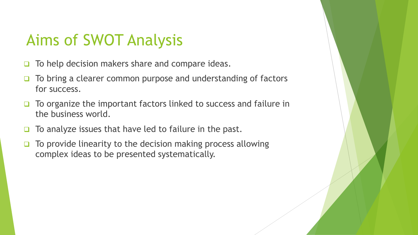### Aims of SWOT Analysis

- $\Box$  To help decision makers share and compare ideas.
- To bring a clearer common purpose and understanding of factors for success.
- $\Box$  To organize the important factors linked to success and failure in the business world.
- $\Box$  To analyze issues that have led to failure in the past.
- $\Box$  To provide linearity to the decision making process allowing complex ideas to be presented systematically.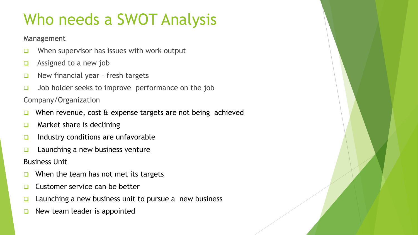# Who needs a SWOT Analysis

Management

- $\Box$  When supervisor has issues with work output
- Assigned to a new job
- $\Box$  New financial year fresh targets
- $\Box$  Job holder seeks to improve performance on the job

Company/Organization

- When revenue, cost & expense targets are not being achieved
- $\Box$  Market share is declining
- $\Box$  Industry conditions are unfavorable
- $\Box$  Launching a new business venture

Business Unit

- When the team has not met its targets
- Customer service can be better
- Launching a new business unit to pursue a new business
- New team leader is appointed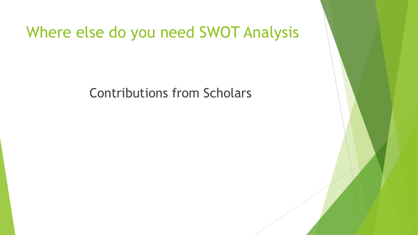#### Where else do you need SWOT Analysis

Contributions from Scholars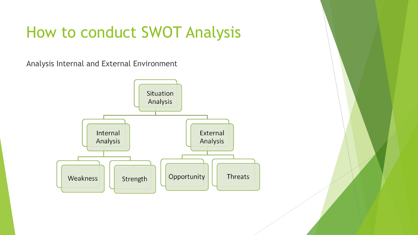Analysis Internal and External Environment

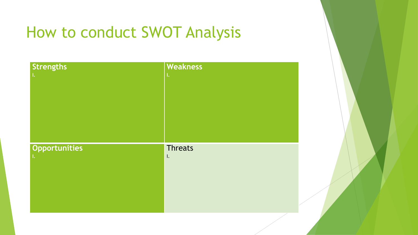| <b>Strengths</b> | Weakness       |
|------------------|----------------|
| $\mathbf{L}$     | $\mathbf{L}$   |
|                  |                |
|                  |                |
|                  |                |
|                  |                |
|                  |                |
|                  |                |
| Opportunities    | Threats        |
| $\mathbf{L}$     | $\mathbf{I}$ . |
|                  |                |
|                  |                |
|                  |                |
|                  |                |
|                  |                |
|                  |                |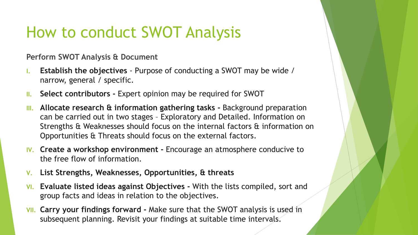**Perform SWOT Analysis & Document**

- **I. Establish the objectives**  Purpose of conducting a SWOT may be wide / narrow, general / specific.
- **II. Select contributors -** Expert opinion may be required for SWOT
- **III. Allocate research & information gathering tasks -** Background preparation can be carried out in two stages – Exploratory and Detailed. Information on Strengths & Weaknesses should focus on the internal factors & information on Opportunities & Threats should focus on the external factors.
- **IV. Create a workshop environment -** Encourage an atmosphere conducive to the free flow of information.
- **V. List Strengths, Weaknesses, Opportunities, & threats**
- **VI. Evaluate listed ideas against Objectives -** With the lists compiled, sort and group facts and ideas in relation to the objectives.
- **VII. Carry your findings forward -** Make sure that the SWOT analysis is used in subsequent planning. Revisit your findings at suitable time intervals.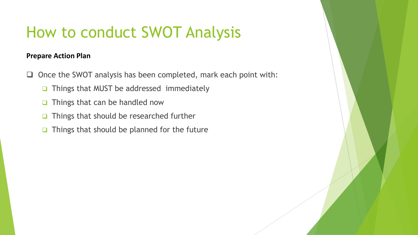#### **Prepare Action Plan**

- $\Box$  Once the SWOT analysis has been completed, mark each point with:
	- □ Things that MUST be addressed immediately
	- $\Box$  Things that can be handled now
	- $\Box$  Things that should be researched further
	- $\Box$  Things that should be planned for the future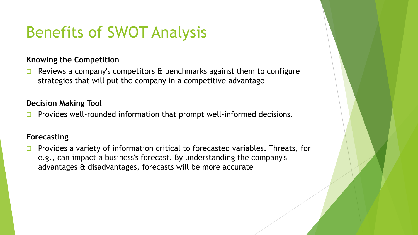# Benefits of SWOT Analysis

#### **Knowing the Competition**

**E** Reviews a company's competitors  $\alpha$  benchmarks against them to configure strategies that will put the company in a competitive advantage

#### **Decision Making Tool**

Provides well-rounded information that prompt well-informed decisions.

#### **Forecasting**

**Provides a variety of information critical to forecasted variables. Threats, for** e.g., can impact a business's forecast. By understanding the company's advantages & disadvantages, forecasts will be more accurate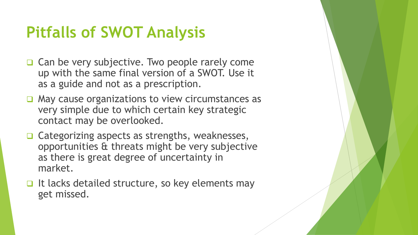# **Pitfalls of SWOT Analysis**

- Can be very subjective. Two people rarely come up with the same final version of a SWOT. Use it as a guide and not as a prescription.
- $\Box$  May cause organizations to view circumstances as very simple due to which certain key strategic contact may be overlooked.
- **□ Categorizing aspects as strengths, weaknesses,** opportunities & threats might be very subjective as there is great degree of uncertainty in market.
- $\Box$  It lacks detailed structure, so key elements may get missed.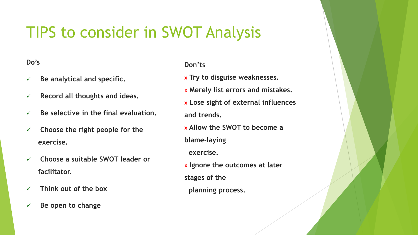### TIPS to consider in SWOT Analysis

#### **Do's**

- **Be analytical and specific.**
- **Record all thoughts and ideas.**
- **Be selective in the final evaluation.**
- **Choose the right people for the exercise.**
- **Choose a suitable SWOT leader or facilitator.**
- **Think out of the box**
- **Be open to change**

#### **Don'ts**

х **Try to disguise weaknesses.** х **Merely list errors and mistakes.** х **Lose sight of external influences and trends.** х **Allow the SWOT to become a blame-laying exercise.** х **Ignore the outcomes at later stages of the planning process.**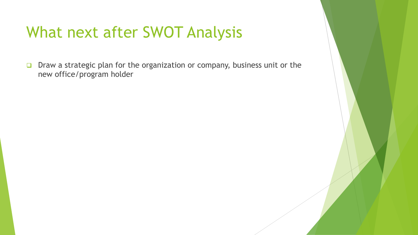### What next after SWOT Analysis

□ Draw a strategic plan for the organization or company, business unit or the new office/program holder